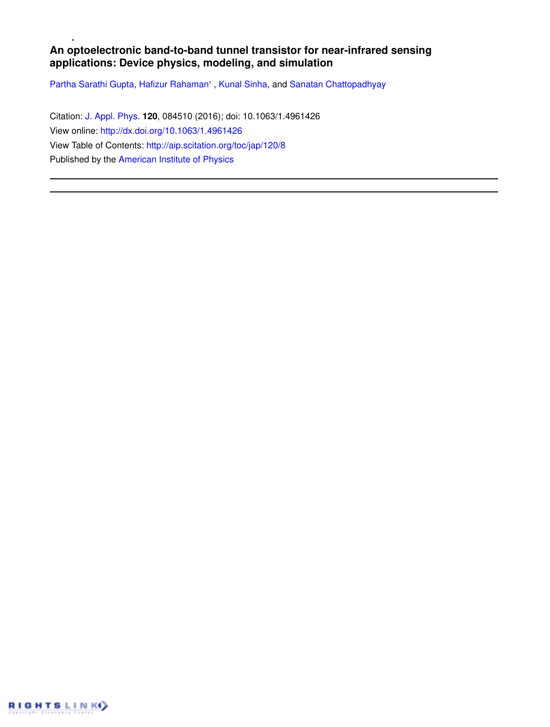# **An optoelectronic band-to-band tunnel transistor for near-infrared sensing applications: Device physics, modeling, and simulation**

Partha Sarathi Gupta, Hafizur Rahaman', Kunal Sinha, and Sanatan Chattopadhyay

Citation: J. Appl. Phys. **120**, 084510 (2016); doi: 10.1063/1.4961426 View online: http://dx.doi.org/10.1063/1.4961426 View Table of Contents: http://aip.scitation.org/toc/jap/120/8 Published by the American Institute of Physics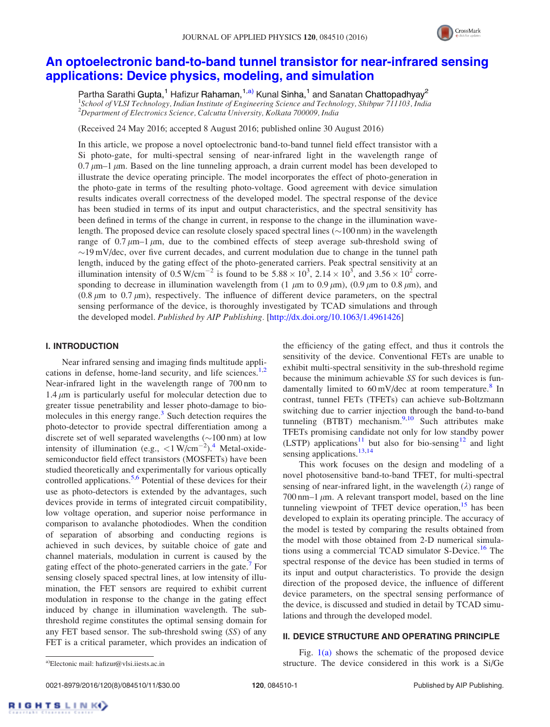

# An optoelectronic band-to-band tunnel transistor for near-infrared sensing applications: Device physics, modeling, and simulation

Partha Sarathi Gupta,<sup>1</sup> Hafizur Rahaman,<sup>1,a)</sup> Kunal Sinha,<sup>1</sup> and Sanatan Chattopadhyay<sup>2</sup> <sup>1</sup>School of VLSI Technology, Indian Institute of Engineering Science and Technology, Shibpur 711103, India  $2$ Department of Electronics Science, Calcutta University, Kolkata 700009, India

(Received 24 May 2016; accepted 8 August 2016; published online 30 August 2016)

In this article, we propose a novel optoelectronic band-to-band tunnel field effect transistor with a Si photo-gate, for multi-spectral sensing of near-infrared light in the wavelength range of  $0.7 \mu$ m–1  $\mu$ m. Based on the line tunneling approach, a drain current model has been developed to illustrate the device operating principle. The model incorporates the effect of photo-generation in the photo-gate in terms of the resulting photo-voltage. Good agreement with device simulation results indicates overall correctness of the developed model. The spectral response of the device has been studied in terms of its input and output characteristics, and the spectral sensitivity has been defined in terms of the change in current, in response to the change in the illumination wavelength. The proposed device can resolute closely spaced spectral lines  $(\sim 100 \text{ nm})$  in the wavelength range of 0.7  $\mu$ m–1  $\mu$ m, due to the combined effects of steep average sub-threshold swing of  $\sim$ 19 mV/dec, over five current decades, and current modulation due to change in the tunnel path length, induced by the gating effect of the photo-generated carriers. Peak spectral sensitivity at an illumination intensity of 0.5 W/cm<sup>-2</sup> is found to be  $5.88 \times 10^3$ ,  $2.14 \times 10^3$ , and  $3.56 \times 10^2$  corresponding to decrease in illumination wavelength from (1  $\mu$ m to 0.9  $\mu$ m), (0.9  $\mu$ m to 0.8  $\mu$ m), and  $(0.8 \mu m)$  to  $(0.7 \mu m)$ , respectively. The influence of different device parameters, on the spectral sensing performance of the device, is thoroughly investigated by TCAD simulations and through the developed model. Published by AIP Publishing. [http://dx.doi.org/10.1063/1.4961426]

# I. INTRODUCTION

Near infrared sensing and imaging finds multitude applications in defense, home-land security, and life sciences. $1,2$ Near-infrared light in the wavelength range of 700 nm to  $1.4 \mu m$  is particularly useful for molecular detection due to greater tissue penetrability and lesser photo-damage to biomolecules in this energy range.<sup>3</sup> Such detection requires the photo-detector to provide spectral differentiation among a discrete set of well separated wavelengths  $(\sim 100 \text{ nm})$  at low intensity of illumination (e.g.,  $\langle 1 \text{ W/cm}^{-2} \rangle$ .<sup>4</sup> Metal-oxidesemiconductor field effect transistors (MOSFETs) have been studied theoretically and experimentally for various optically controlled applications.<sup>5,6</sup> Potential of these devices for their use as photo-detectors is extended by the advantages, such devices provide in terms of integrated circuit compatibility, low voltage operation, and superior noise performance in comparison to avalanche photodiodes. When the condition of separation of absorbing and conducting regions is achieved in such devices, by suitable choice of gate and channel materials, modulation in current is caused by the gating effect of the photo-generated carriers in the gate.<sup>7</sup> For sensing closely spaced spectral lines, at low intensity of illumination, the FET sensors are required to exhibit current modulation in response to the change in the gating effect induced by change in illumination wavelength. The subthreshold regime constitutes the optimal sensing domain for any FET based sensor. The sub-threshold swing (SS) of any FET is a critical parameter, which provides an indication of the efficiency of the gating effect, and thus it controls the sensitivity of the device. Conventional FETs are unable to exhibit multi-spectral sensitivity in the sub-threshold regime because the minimum achievable SS for such devices is fundamentally limited to  $60 \text{ mV/dec}$  at room temperature.<sup>8</sup> In contrast, tunnel FETs (TFETs) can achieve sub-Boltzmann switching due to carrier injection through the band-to-band tunneling (BTBT) mechanism. $9,10$  Such attributes make TFETs promising candidate not only for low standby power  $(LSTP)$  applications<sup>11</sup> but also for bio-sensing<sup>12</sup> and light sensing applications. $13,14$ 

This work focuses on the design and modeling of a novel photosensitive band-to-band TFET, for multi-spectral sensing of near-infrared light, in the wavelength  $(\lambda)$  range of 700 nm–1  $\mu$ m. A relevant transport model, based on the line tunneling viewpoint of TFET device operation, $15$  has been developed to explain its operating principle. The accuracy of the model is tested by comparing the results obtained from the model with those obtained from 2-D numerical simulations using a commercial TCAD simulator S-Device.<sup>16</sup> The spectral response of the device has been studied in terms of its input and output characteristics. To provide the design direction of the proposed device, the influence of different device parameters, on the spectral sensing performance of the device, is discussed and studied in detail by TCAD simulations and through the developed model.

## II. DEVICE STRUCTURE AND OPERATING PRINCIPLE

0021-8979/2016/120(8)/084510/11/\$30.00 120, 084510-1 Published by AIP Publishing.

Fig.  $1(a)$  shows the schematic of the proposed device a)Electonic mail: hafizur@vlsi.iiests.ac.in **Structure** Structure. The device considered in this work is a Si/Ge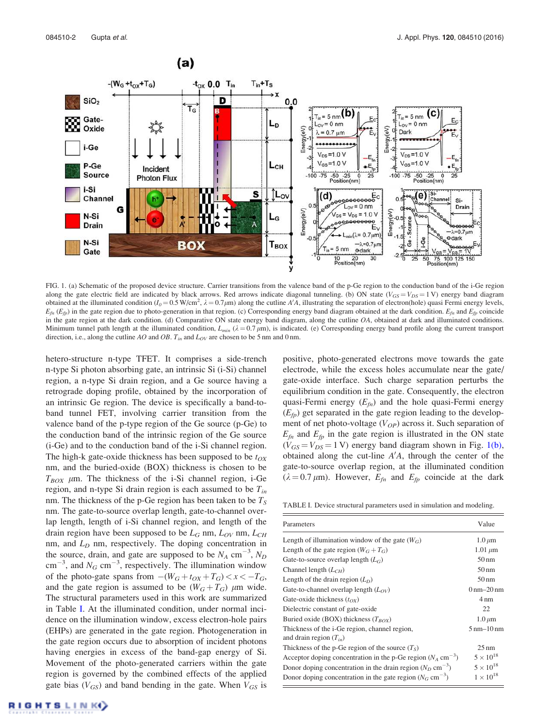

FIG. 1. (a) Schematic of the proposed device structure. Carrier transitions from the valence band of the p-Ge region to the conduction band of the i-Ge region along the gate electric field are indicated by black arrows. Red arrows indicate diagonal tunneling. (b) ON state ( $V_{GS} = V_{DS} = 1$  V) energy band diagram obtained at the illuminated condition ( $I_0 = 0.5$  W/cm<sup>2</sup>,  $\lambda = 0.7 \mu$ m) along the cutline A'A, illustrating the separation of electron(hole) quasi Fermi energy levels,  $E_{fn}$  ( $E_{fp}$ ) in the gate region due to photo-generation in that region. (c) Corresponding energy band diagram obtained at the dark condition.  $E_{fn}$  and  $E_{fp}$  coincide in the gate region at the dark condition. (d) Comparative ON state energy band diagram, along the cutline OA, obtained at dark and illuminated conditions. Minimum tunnel path length at the illuminated condition,  $L_{min}$  ( $\lambda = 0.7 \mu m$ ), is indicated. (e) Corresponding energy band profile along the current transport direction, i.e., along the cutline AO and OB.  $T_{in}$  and  $L_{OV}$  are chosen to be 5 nm and 0 nm.

hetero-structure n-type TFET. It comprises a side-trench n-type Si photon absorbing gate, an intrinsic Si (i-Si) channel region, a n-type Si drain region, and a Ge source having a retrograde doping profile, obtained by the incorporation of an intrinsic Ge region. The device is specifically a band-toband tunnel FET, involving carrier transition from the valence band of the p-type region of the Ge source (p-Ge) to the conduction band of the intrinsic region of the Ge source (i-Ge) and to the conduction band of the i-Si channel region. The high-k gate-oxide thickness has been supposed to be  $t_{OX}$ nm, and the buried-oxide (BOX) thickness is chosen to be  $T_{BOX}$  µm. The thickness of the i-Si channel region, i-Ge region, and n-type Si drain region is each assumed to be  $T_{in}$ nm. The thickness of the p-Ge region has been taken to be  $T<sub>S</sub>$ nm. The gate-to-source overlap length, gate-to-channel overlap length, length of i-Si channel region, and length of the drain region have been supposed to be  $L_G$  nm,  $L_{OV}$  nm,  $L_{CH}$ nm, and  $L_D$  nm, respectively. The doping concentration in the source, drain, and gate are supposed to be  $N_A$  cm<sup>-3</sup>,  $N_D$  $\text{cm}^{-3}$ , and  $N_G \text{ cm}^{-3}$ , respectively. The illumination window of the photo-gate spans from  $-(W_G + t_{OX} + T_G) < x < -T_G$ , and the gate region is assumed to be  $(W_G + T_G)$  µm wide. The structural parameters used in this work are summarized in Table I. At the illuminated condition, under normal incidence on the illumination window, excess electron-hole pairs (EHPs) are generated in the gate region. Photogeneration in the gate region occurs due to absorption of incident photons having energies in excess of the band-gap energy of Si. Movement of the photo-generated carriers within the gate region is governed by the combined effects of the applied gate bias ( $V_{GS}$ ) and band bending in the gate. When  $V_{GS}$  is positive, photo-generated electrons move towards the gate electrode, while the excess holes accumulate near the gate/ gate-oxide interface. Such charge separation perturbs the equilibrium condition in the gate. Consequently, the electron quasi-Fermi energy  $(E<sub>fn</sub>)$  and the hole quasi-Fermi energy  $(E<sub>f</sub>)$  get separated in the gate region leading to the development of net photo-voltage  $(V_{OP})$  across it. Such separation of  $E_{fn}$  and  $E_{fp}$  in the gate region is illustrated in the ON state  $(V_{GS} = V_{DS} = 1 \text{ V})$  energy band diagram shown in Fig. 1(b), obtained along the cut-line  $A'A$ , through the center of the gate-to-source overlap region, at the illuminated condition  $(\lambda = 0.7 \mu m)$ . However,  $E_{fn}$  and  $E_{fp}$  coincide at the dark

TABLE I. Device structural parameters used in simulation and modeling.

| Parameters                                                                   | Value                                |
|------------------------------------------------------------------------------|--------------------------------------|
| Length of illumination window of the gate $(W_G)$                            | $1.0 \mu m$                          |
| Length of the gate region $(W_G + T_G)$                                      | $1.01 \mu m$                         |
| Gate-to-source overlap length $(L_G)$                                        | $50 \text{ nm}$                      |
| Channel length $(L_{CH})$                                                    | $50 \text{ nm}$                      |
| Length of the drain region $(L_D)$                                           | $50 \text{ nm}$                      |
| Gate-to-channel overlap length $(L_{OV})$                                    | $0 \,\mathrm{nm} - 20 \,\mathrm{nm}$ |
| Gate-oxide thickness $(t_{OX})$                                              | $4 \text{ nm}$                       |
| Dielectric constant of gate-oxide                                            | 22                                   |
| Buried oxide (BOX) thickness $(T_{ROX})$                                     | $1.0 \mu m$                          |
| Thickness of the i-Ge region, channel region,<br>and drain region $(T_{in})$ | $5 \text{ nm} - 10 \text{ nm}$       |
| Thickness of the p-Ge region of the source $(T_S)$                           | $25 \text{ nm}$                      |
| Acceptor doping concentration in the p-Ge region $(N_A \text{ cm}^{-3})$     | $5 \times 10^{18}$                   |
| Donor doping concentration in the drain region $(N_D \text{ cm}^{-3})$       | $5 \times 10^{18}$                   |
| Donor doping concentration in the gate region $(N_G \text{ cm}^{-3})$        | $1 \times 10^{18}$                   |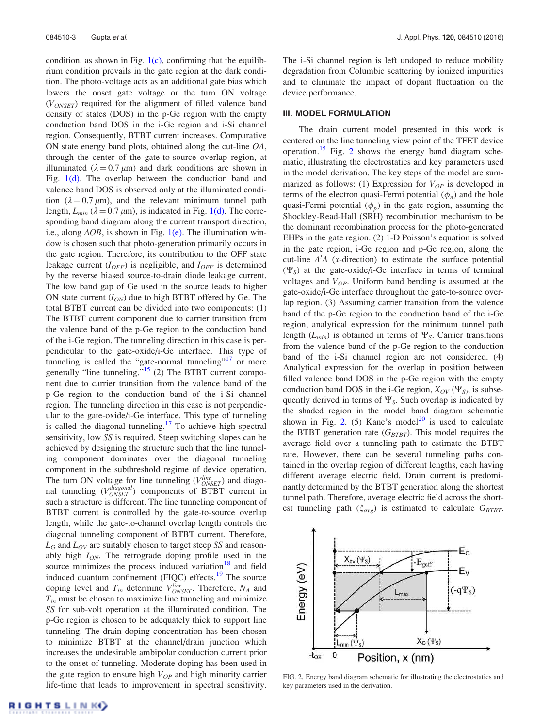condition, as shown in Fig.  $1(c)$ , confirming that the equilibrium condition prevails in the gate region at the dark condition. The photo-voltage acts as an additional gate bias which lowers the onset gate voltage or the turn ON voltage  $(V_{ONSET})$  required for the alignment of filled valence band density of states (DOS) in the p-Ge region with the empty conduction band DOS in the i-Ge region and i-Si channel region. Consequently, BTBT current increases. Comparative ON state energy band plots, obtained along the cut-line OA, through the center of the gate-to-source overlap region, at illuminated ( $\lambda = 0.7 \mu m$ ) and dark conditions are shown in Fig.  $1(d)$ . The overlap between the conduction band and valence band DOS is observed only at the illuminated condition ( $\lambda = 0.7 \mu m$ ), and the relevant minimum tunnel path length,  $L_{min}$  ( $\lambda = 0.7 \mu$ m), is indicated in Fig. 1(d). The corresponding band diagram along the current transport direction, i.e., along  $AOB$ , is shown in Fig. 1(e). The illumination window is chosen such that photo-generation primarily occurs in the gate region. Therefore, its contribution to the OFF state leakage current  $(I<sub>OFF</sub>)$  is negligible, and  $I<sub>OFF</sub>$  is determined by the reverse biased source-to-drain diode leakage current. The low band gap of Ge used in the source leads to higher ON state current  $(I_{ON})$  due to high BTBT offered by Ge. The total BTBT current can be divided into two components: (1) The BTBT current component due to carrier transition from the valence band of the p-Ge region to the conduction band of the i-Ge region. The tunneling direction in this case is perpendicular to the gate-oxide/i-Ge interface. This type of tunneling is called the "gate-normal tunneling"<sup>17</sup> or more generally "line tunneling."<sup>15</sup> (2) The BTBT current component due to carrier transition from the valence band of the p-Ge region to the conduction band of the i-Si channel region. The tunneling direction in this case is not perpendicular to the gate-oxide/i-Ge interface. This type of tunneling is called the diagonal tunneling. $17$  To achieve high spectral sensitivity, low SS is required. Steep switching slopes can be achieved by designing the structure such that the line tunneling component dominates over the diagonal tunneling component in the subthreshold regime of device operation. The turn ON voltage for line tunneling  $(V_{ONSET}^{line})$  and diagonal tunneling  $(V_{ONSET}^{diagonal})$  components of BTBT current in such a structure is different. The line tunneling component of BTBT current is controlled by the gate-to-source overlap length, while the gate-to-channel overlap length controls the diagonal tunneling component of BTBT current. Therefore,  $L_G$  and  $L_{OV}$  are suitably chosen to target steep SS and reasonably high  $I_{ON}$ . The retrograde doping profile used in the source minimizes the process induced variation $18$  and field induced quantum confinement (FIQC) effects.<sup>19</sup> The source doping level and  $T_{in}$  determine  $V_{ONSET}^{line}$ . Therefore,  $N_A$  and  $T_{in}$  must be chosen to maximize line tunneling and minimize SS for sub-volt operation at the illuminated condition. The p-Ge region is chosen to be adequately thick to support line tunneling. The drain doping concentration has been chosen to minimize BTBT at the channel/drain junction which increases the undesirable ambipolar conduction current prior to the onset of tunneling. Moderate doping has been used in the gate region to ensure high  $V_{OP}$  and high minority carrier life-time that leads to improvement in spectral sensitivity. The i-Si channel region is left undoped to reduce mobility degradation from Columbic scattering by ionized impurities and to eliminate the impact of dopant fluctuation on the device performance.

# III. MODEL FORMULATION

The drain current model presented in this work is centered on the line tunneling view point of the TFET device operation.<sup>15</sup> Fig. 2 shows the energy band diagram schematic, illustrating the electrostatics and key parameters used in the model derivation. The key steps of the model are summarized as follows: (1) Expression for  $V_{OP}$  is developed in terms of the electron quasi-Fermi potential  $(\phi_n)$  and the hole quasi-Fermi potential  $(\phi_p)$  in the gate region, assuming the Shockley-Read-Hall (SRH) recombination mechanism to be the dominant recombination process for the photo-generated EHPs in the gate region. (2) 1-D Poisson's equation is solved in the gate region, i-Ge region and p-Ge region, along the cut-line  $A'A$  (x-direction) to estimate the surface potential  $(\Psi_S)$  at the gate-oxide/i-Ge interface in terms of terminal voltages and  $V_{OP}$ . Uniform band bending is assumed at the gate-oxide/i-Ge interface throughout the gate-to-source overlap region. (3) Assuming carrier transition from the valence band of the p-Ge region to the conduction band of the i-Ge region, analytical expression for the minimum tunnel path length ( $L_{min}$ ) is obtained in terms of  $\Psi_S$ . Carrier transitions from the valence band of the p-Ge region to the conduction band of the i-Si channel region are not considered. (4) Analytical expression for the overlap in position between filled valence band DOS in the p-Ge region with the empty conduction band DOS in the i-Ge region,  $X_{OV}(\Psi_{S_i})$ , is subsequently derived in terms of  $\Psi_S$ . Such overlap is indicated by the shaded region in the model band diagram schematic shown in Fig. 2. (5) Kane's model<sup>20</sup> is used to calculate the BTBT generation rate  $(G_{BTBT})$ . This model requires the average field over a tunneling path to estimate the BTBT rate. However, there can be several tunneling paths contained in the overlap region of different lengths, each having different average electric field. Drain current is predominantly determined by the BTBT generation along the shortest tunnel path. Therefore, average electric field across the shortest tunneling path  $(\xi_{avg})$  is estimated to calculate  $G_{BTBT}$ .



FIG. 2. Energy band diagram schematic for illustrating the electrostatics and key parameters used in the derivation.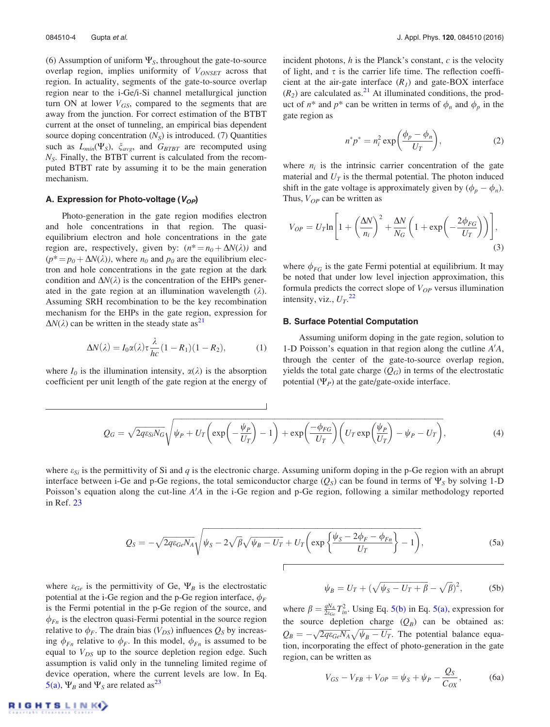(6) Assumption of uniform  $\Psi_{S}$ , throughout the gate-to-source overlap region, implies uniformity of  $V_{ONSET}$  across that region. In actuality, segments of the gate-to-source overlap region near to the i-Ge/i-Si channel metallurgical junction turn ON at lower  $V_{GS}$ , compared to the segments that are away from the junction. For correct estimation of the BTBT current at the onset of tunneling, an empirical bias dependent source doping concentration  $(N<sub>S</sub>)$  is introduced. (7) Quantities such as  $L_{min}(\Psi_S)$ ,  $\xi_{avg}$ , and  $G_{BTBT}$  are recomputed using  $N<sub>S</sub>$ . Finally, the BTBT current is calculated from the recomputed BTBT rate by assuming it to be the main generation mechanism.

## A. Expression for Photo-voltage ( $V_{OP}$ )

Photo-generation in the gate region modifies electron and hole concentrations in that region. The quasiequilibrium electron and hole concentrations in the gate region are, respectively, given by:  $(n^* = n_0 + \Delta N(\lambda))$  and  $(p^* = p_0 + \Delta N(\lambda))$ , where  $n_0$  and  $p_0$  are the equilibrium electron and hole concentrations in the gate region at the dark condition and  $\Delta N(\lambda)$  is the concentration of the EHPs generated in the gate region at an illumination wavelength  $(\lambda)$ . Assuming SRH recombination to be the key recombination mechanism for the EHPs in the gate region, expression for  $\Delta N(\lambda)$  can be written in the steady state as<sup>21</sup>

$$
\Delta N(\lambda) = I_0 \alpha(\lambda) \tau \frac{\lambda}{hc} (1 - R_1)(1 - R_2), \tag{1}
$$

where  $I_0$  is the illumination intensity,  $\alpha(\lambda)$  is the absorption coefficient per unit length of the gate region at the energy of incident photons,  $h$  is the Planck's constant,  $c$  is the velocity of light, and  $\tau$  is the carrier life time. The reflection coefficient at the air-gate interface  $(R<sub>1</sub>)$  and gate-BOX interface  $(R<sub>2</sub>)$  are calculated as.<sup>21</sup> At illuminated conditions, the product of  $n^*$  and  $p^*$  can be written in terms of  $\phi_n$  and  $\phi_p$  in the gate region as

$$
n^*p^* = n_i^2 \exp\left(\frac{\phi_p - \phi_n}{U_T}\right),\tag{2}
$$

where  $n_i$  is the intrinsic carrier concentration of the gate material and  $U_T$  is the thermal potential. The photon induced shift in the gate voltage is approximately given by  $(\phi_p - \phi_n)$ . Thus,  $V_{OP}$  can be written as

$$
V_{OP} = U_T \ln \left[ 1 + \left( \frac{\Delta N}{n_i} \right)^2 + \frac{\Delta N}{N_G} \left( 1 + \exp \left( -\frac{2\phi_{FG}}{U_T} \right) \right) \right],\tag{3}
$$

where  $\phi_{FG}$  is the gate Fermi potential at equilibrium. It may be noted that under low level injection approximation, this formula predicts the correct slope of  $V_{OP}$  versus illumination intensity, viz.,  $U_T$ .<sup>22</sup>

#### B. Surface Potential Computation

Assuming uniform doping in the gate region, solution to 1-D Poisson's equation in that region along the cutline  $A'A$ , through the center of the gate-to-source overlap region, yields the total gate charge  $(Q_G)$  in terms of the electrostatic potential  $(\Psi_P)$  at the gate/gate-oxide interface.

$$
Q_G = \sqrt{2q\varepsilon_{Si}N_G}\sqrt{\psi_P + U_T\left(\exp\left(-\frac{\psi_P}{U_T}\right) - 1\right) + \exp\left(\frac{-\phi_{FG}}{U_T}\right)\left(U_T\exp\left(\frac{\psi_P}{U_T}\right) - \psi_P - U_T\right)},
$$
\n(4)

where  $\varepsilon_{Si}$  is the permittivity of Si and q is the electronic charge. Assuming uniform doping in the p-Ge region with an abrupt interface between i-Ge and p-Ge regions, the total semiconductor charge  $(Q_S)$  can be found in terms of  $\Psi_S$  by solving 1-D Poisson's equation along the cut-line  $A'A$  in the i-Ge region and p-Ge region, following a similar methodology reported in Ref. 23

 $\mathbf{I}$ 

$$
Q_S = -\sqrt{2q\varepsilon_{Ge}N_A}\sqrt{\psi_S - 2\sqrt{\beta}\sqrt{\psi_B - U_T} + U_T\left(\exp\left\{\frac{\psi_S - 2\phi_F - \phi_{Fn}}{U_T}\right\} - 1\right)},
$$
(5a)

where  $\varepsilon_{Ge}$  is the permittivity of Ge,  $\Psi_B$  is the electrostatic potential at the i-Ge region and the p-Ge region interface,  $\phi_F$ is the Fermi potential in the p-Ge region of the source, and  $\phi_{Fn}$  is the electron quasi-Fermi potential in the source region relative to  $\phi_F$ . The drain bias ( $V_{DS}$ ) influences  $Q_S$  by increasing  $\phi_{Fn}$  relative to  $\phi_F$ . In this model,  $\phi_{Fn}$  is assumed to be equal to  $V_{DS}$  up to the source depletion region edge. Such assumption is valid only in the tunneling limited regime of device operation, where the current levels are low. In Eq. 5(a),  $\Psi_B$  and  $\Psi_S$  are related as<sup>23</sup>

$$
\psi_B = U_T + (\sqrt{\psi_S - U_T + \beta} - \sqrt{\beta})^2, \tag{5b}
$$

where  $\beta = \frac{qN_A}{2\epsilon_{Ge}} T_{in}^2$ . Using Eq. 5(b) in Eq. 5(a), expression for the source depletion charge  $(Q_B)$  can be obtained as:  $Q_B = -\sqrt{2q\varepsilon_{Ge}N_A}\sqrt{\psi_B - U_T}$ . The potential balance equation, incorporating the effect of photo-generation in the gate region, can be written as

$$
V_{GS} - V_{FB} + V_{OP} = \psi_S + \psi_P - \frac{Q_S}{C_{OX}},
$$
 (6a)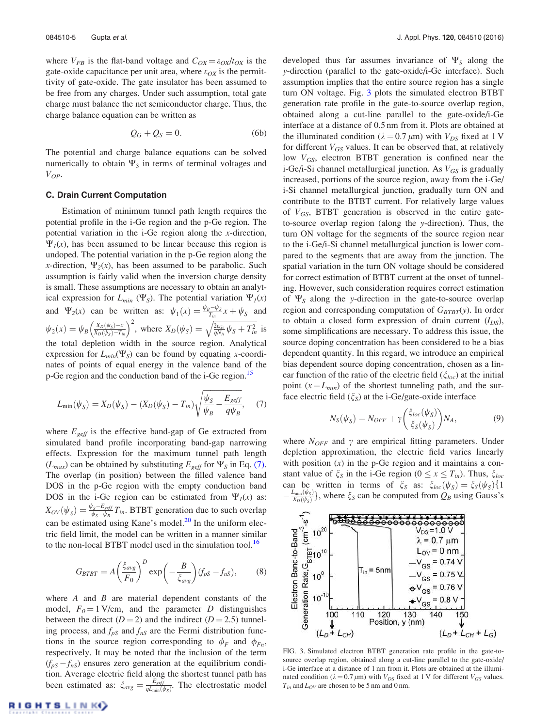where  $V_{FB}$  is the flat-band voltage and  $C_{OX} = \varepsilon_{OX}/t_{OX}$  is the gate-oxide capacitance per unit area, where  $\varepsilon_{OX}$  is the permittivity of gate-oxide. The gate insulator has been assumed to be free from any charges. Under such assumption, total gate charge must balance the net semiconductor charge. Thus, the charge balance equation can be written as

$$
Q_G + Q_S = 0. \tag{6b}
$$

The potential and charge balance equations can be solved numerically to obtain  $\Psi_{S}$  in terms of terminal voltages and  $V_{OP}$ .

#### C. Drain Current Computation

Estimation of minimum tunnel path length requires the potential profile in the i-Ge region and the p-Ge region. The potential variation in the i-Ge region along the x-direction,  $\Psi_I(x)$ , has been assumed to be linear because this region is undoped. The potential variation in the p-Ge region along the x-direction,  $\Psi_2(x)$ , has been assumed to be parabolic. Such assumption is fairly valid when the inversion charge density is small. These assumptions are necessary to obtain an analytical expression for  $L_{min}(\Psi_S)$ . The potential variation  $\Psi_I(x)$ and  $\Psi_2(x)$  can be written as:  $\psi_1(x) = \frac{\psi_B - \psi_S}{T_{in}} x + \psi_S$  and  $\psi_2(x) = \psi_B \left( \frac{X_D(\psi_S) - x}{X_D(\psi_S) - T_{in}} \right)^2$ , where  $X_D(\psi_S) = \sqrt{\frac{2\varepsilon_{Ge}}{qN_A}} \psi_S + T_{in}^2$  is the total depletion width in the source region. Analytical expression for  $L_{min}(\Psi_S)$  can be found by equating x-coordinates of points of equal energy in the valence band of the p-Ge region and the conduction band of the i-Ge region.<sup>15</sup>

$$
L_{\min}(\psi_S) = X_D(\psi_S) - (X_D(\psi_S) - T_{in}) \sqrt{\frac{\psi_S}{\psi_B} - \frac{E_{\text{geff}}}{q\psi_B}},\tag{7}
$$

where  $E_{\text{eff}}$  is the effective band-gap of Ge extracted from simulated band profile incorporating band-gap narrowing effects. Expression for the maximum tunnel path length  $(L_{max})$  can be obtained by substituting  $E_{\text{eff}}$  for  $\Psi_{\text{S}}$  in Eq. (7). The overlap (in position) between the filled valence band DOS in the p-Ge region with the empty conduction band DOS in the i-Ge region can be estimated from  $\Psi_I(x)$  as:  $X_{OV}(\psi_S) = \frac{\psi_S - E_{seff}}{\psi_S - \psi_B}$  $\frac{y_s - E_{\text{seff}}}{\psi_s - \psi_B} T_{in}$ . BTBT generation due to such overlap can be estimated using Kane's model.<sup>20</sup> In the uniform electric field limit, the model can be written in a manner similar to the non-local BTBT model used in the simulation tool.<sup>16</sup>

$$
G_{BTBT} = A \left(\frac{\xi_{avg}}{F_0}\right)^D \exp\left(-\frac{B}{\xi_{avg}}\right) (f_{pS} - f_{nS}),\tag{8}
$$

where  $A$  and  $B$  are material dependent constants of the model,  $F_0 = 1$  V/cm, and the parameter D distinguishes between the direct  $(D = 2)$  and the indirect  $(D = 2.5)$  tunneling process, and  $f_{pS}$  and  $f_{nS}$  are the Fermi distribution functions in the source region corresponding to  $\phi_F$  and  $\phi_{Fn}$ , respectively. It may be noted that the inclusion of the term  $(f_{pS} - f_{nS})$  ensures zero generation at the equilibrium condition. Average electric field along the shortest tunnel path has been estimated as:  $\zeta_{avg} = \frac{E_{geff}}{qL_{min}(q)}$  $\frac{E_{\text{geff}}}{qL_{\min}(\psi_{\text{S}})}$ . The electrostatic model

developed thus far assumes invariance of  $\Psi<sub>S</sub>$  along the y-direction (parallel to the gate-oxide/i-Ge interface). Such assumption implies that the entire source region has a single turn ON voltage. Fig. 3 plots the simulated electron BTBT generation rate profile in the gate-to-source overlap region, obtained along a cut-line parallel to the gate-oxide/i-Ge interface at a distance of 0.5 nm from it. Plots are obtained at the illuminated condition ( $\lambda = 0.7 \mu m$ ) with  $V_{DS}$  fixed at 1 V for different  $V_{GS}$  values. It can be observed that, at relatively low  $V_{GS}$ , electron BTBT generation is confined near the i-Ge/i-Si channel metallurgical junction. As  $V_{GS}$  is gradually increased, portions of the source region, away from the i-Ge/ i-Si channel metallurgical junction, gradually turn ON and contribute to the BTBT current. For relatively large values of  $V_{GS}$ , BTBT generation is observed in the entire gateto-source overlap region (along the y-direction). Thus, the turn ON voltage for the segments of the source region near to the i-Ge/i-Si channel metallurgical junction is lower compared to the segments that are away from the junction. The spatial variation in the turn ON voltage should be considered for correct estimation of BTBT current at the onset of tunneling. However, such consideration requires correct estimation of  $\Psi_s$  along the y-direction in the gate-to-source overlap region and corresponding computation of  $G_{BTBT}(y)$ . In order to obtain a closed form expression of drain current  $(I_{DS})$ , some simplifications are necessary. To address this issue, the source doping concentration has been considered to be a bias dependent quantity. In this regard, we introduce an empirical bias dependent source doping concentration, chosen as a linear function of the ratio of the electric field ( $\zeta_{loc}$ ) at the initial point  $(x = L_{min})$  of the shortest tunneling path, and the surface electric field  $(\xi_S)$  at the i-Ge/gate-oxide interface

$$
N_S(\psi_S) = N_{OFF} + \gamma \left(\frac{\xi_{loc}(\psi_S)}{\xi_S(\psi_S)}\right) N_A,\tag{9}
$$

where  $N_{OFF}$  and  $\gamma$  are empirical fitting parameters. Under depletion approximation, the electric field varies linearly with position  $(x)$  in the p-Ge region and it maintains a constant value of  $\zeta_s$  in the i-Ge region ( $0 \le x \le T_{in}$ ). Thus,  $\zeta_{loc}$ can be written in terms of  $\xi_S$  as:  $\xi_{loc}(\psi_S) = \xi_S(\psi_S) \{1\}$  $-\frac{L_{\text{min}}(\psi_S)}{X_D(\psi_S)}\}$ , where  $\xi_S$  can be computed from  $Q_B$  using Gauss's



FIG. 3. Simulated electron BTBT generation rate profile in the gate-tosource overlap region, obtained along a cut-line parallel to the gate-oxide/ i-Ge interface at a distance of 1 nm from it. Plots are obtained at the illuminated condition ( $\lambda = 0.7 \mu m$ ) with  $V_{DS}$  fixed at 1 V for different  $V_{GS}$  values.  $T_{in}$  and  $L_{OV}$  are chosen to be 5 nm and 0 nm.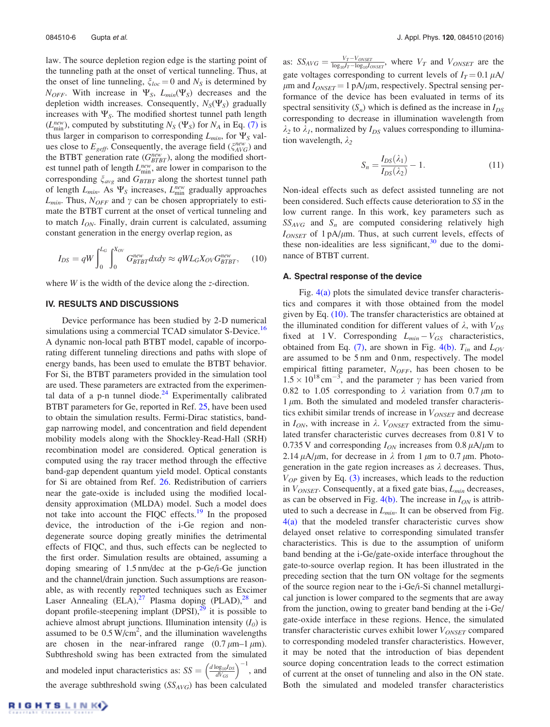law. The source depletion region edge is the starting point of the tunneling path at the onset of vertical tunneling. Thus, at the onset of line tunneling,  $\zeta_{loc} = 0$  and  $N_S$  is determined by  $N_{OFF}$ . With increase in  $\Psi_S$ ,  $L_{min}(\Psi_S)$  decreases and the depletion width increases. Consequently,  $N_S(\Psi_S)$  gradually increases with  $\Psi_S$ . The modified shortest tunnel path length  $(L_{\text{min}}^{new})$ , computed by substituting  $N_S$  ( $\Psi_S$ ) for  $N_A$  in Eq. (7) is thus larger in comparison to corresponding  $L_{min}$ , for  $\Psi_S$  values close to  $E_{\text{geff}}$ . Consequently, the average field  $(\zeta_{\text{AVG}}^{\text{new}})$  and the BTBT generation rate ( $G_{BTBT}^{new}$ ), along the modified shortest tunnel path of length  $L_{\text{min}}^{new}$ , are lower in comparison to the corresponding  $\xi_{avg}$  and  $G_{BTBT}$  along the shortest tunnel path of length  $L_{min}$ . As  $\Psi_S$  increases,  $L_{min}^{new}$  gradually approaches  $L_{min}$ . Thus,  $N_{OFF}$  and  $\gamma$  can be chosen appropriately to estimate the BTBT current at the onset of vertical tunneling and to match  $I_{ON}$ . Finally, drain current is calculated, assuming constant generation in the energy overlap region, as

$$
I_{DS} = qW \int_0^{L_G} \int_0^{X_{OV}} G_{BTBT}^{new} dxdy \approx qW L_G X_{OV} G_{BTBT}^{new}, \quad (10)
$$

where  $W$  is the width of the device along the *z*-direction.

# IV. RESULTS AND DISCUSSIONS

Device performance has been studied by 2-D numerical simulations using a commercial TCAD simulator S-Device.<sup>16</sup> A dynamic non-local path BTBT model, capable of incorporating different tunneling directions and paths with slope of energy bands, has been used to emulate the BTBT behavior. For Si, the BTBT parameters provided in the simulation tool are used. These parameters are extracted from the experimental data of a p-n tunnel diode. $24$  Experimentally calibrated BTBT parameters for Ge, reported in Ref. 25, have been used to obtain the simulation results. Fermi-Dirac statistics, bandgap narrowing model, and concentration and field dependent mobility models along with the Shockley-Read-Hall (SRH) recombination model are considered. Optical generation is computed using the ray tracer method through the effective band-gap dependent quantum yield model. Optical constants for Si are obtained from Ref. 26. Redistribution of carriers near the gate-oxide is included using the modified localdensity approximation (MLDA) model. Such a model does not take into account the FIQC effects.<sup>19</sup> In the proposed device, the introduction of the i-Ge region and nondegenerate source doping greatly minifies the detrimental effects of FIQC, and thus, such effects can be neglected to the first order. Simulation results are obtained, assuming a doping smearing of 1.5 nm/dec at the p-Ge/i-Ge junction and the channel/drain junction. Such assumptions are reasonable, as with recently reported techniques such as Excimer Laser Annealing  $(ELA),^{27}$  Plasma doping  $(PLAD),^{28}$  and dopant profile-steepening implant  $(DPSI),^{29}$  it is possible to achieve almost abrupt junctions. Illumination intensity  $(I_0)$  is assumed to be  $0.5 \text{ W/cm}^2$ , and the illumination wavelengths are chosen in the near-infrared range  $(0.7 \mu m - 1 \mu m)$ . Subthreshold swing has been extracted from the simulated and modeled input characteristics as:  $SS = \left(\frac{d \log_{10} I_{DS}}{d V_{GS}}\right)^{-1}$ , and the average subthreshold swing  $(SS<sub>AVG</sub>)$  has been calculated

as:  $SS_{AVG} = \frac{V_T - V_{ONSET}}{\log_{10}I_T - \log_{10}I_{ONSET}}$ , where  $V_T$  and  $V_{ONSET}$  are the gate voltages corresponding to current levels of  $I_T = 0.1 \mu A$ /  $\mu$ m and  $I_{ONSET} = 1 \text{ pA}/\mu$ m, respectively. Spectral sensing performance of the device has been evaluated in terms of its spectral sensitivity  $(S_n)$  which is defined as the increase in  $I_{DS}$ corresponding to decrease in illumination wavelength from  $\lambda_2$  to  $\lambda_1$ , normalized by  $I_{DS}$  values corresponding to illumination wavelength,  $\lambda_2$ 

$$
S_n = \frac{I_{DS}(\lambda_1)}{I_{DS}(\lambda_2)} - 1.
$$
\n(11)

Non-ideal effects such as defect assisted tunneling are not been considered. Such effects cause deterioration to SS in the low current range. In this work, key parameters such as  $SS_{AVG}$  and  $S_n$  are computed considering relatively high  $I_{ONSET}$  of 1 pA/ $\mu$ m. Thus, at such current levels, effects of these non-idealities are less significant,  $30$  due to the dominance of BTBT current.

#### A. Spectral response of the device

Fig.  $4(a)$  plots the simulated device transfer characteristics and compares it with those obtained from the model given by Eq. (10). The transfer characteristics are obtained at the illuminated condition for different values of  $\lambda$ , with  $V_{DS}$ fixed at 1 V. Corresponding  $L_{min} - V_{GS}$  characteristics, obtained from Eq. (7), are shown in Fig. 4(b).  $T_{in}$  and  $L_{OV}$ are assumed to be 5 nm and 0 nm, respectively. The model empirical fitting parameter,  $N_{OFF}$ , has been chosen to be  $1.5 \times 10^{18}$  cm<sup>-3</sup>, and the parameter  $\gamma$  has been varied from 0.82 to 1.05 corresponding to  $\lambda$  variation from 0.7  $\mu$ m to  $1 \mu$ m. Both the simulated and modeled transfer characteristics exhibit similar trends of increase in  $V_{ONSET}$  and decrease in  $I_{ON}$ , with increase in  $\lambda$ .  $V_{ONSET}$  extracted from the simulated transfer characteristic curves decreases from 0.81 V to 0.735 V and corresponding  $I_{ON}$  increases from 0.8  $\mu$ A/ $\mu$ m to 2.14  $\mu$ A/ $\mu$ m, for decrease in  $\lambda$  from 1  $\mu$ m to 0.7  $\mu$ m. Photogeneration in the gate region increases as  $\lambda$  decreases. Thus,  $V_{OP}$  given by Eq. (3) increases, which leads to the reduction in  $V_{ONSET}$ . Consequently, at a fixed gate bias,  $L_{min}$  decreases, as can be observed in Fig. 4(b). The increase in  $I_{ON}$  is attributed to such a decrease in  $L_{min}$ . It can be observed from Fig. 4(a) that the modeled transfer characteristic curves show delayed onset relative to corresponding simulated transfer characteristics. This is due to the assumption of uniform band bending at the i-Ge/gate-oxide interface throughout the gate-to-source overlap region. It has been illustrated in the preceding section that the turn ON voltage for the segments of the source region near to the i-Ge/i-Si channel metallurgical junction is lower compared to the segments that are away from the junction, owing to greater band bending at the i-Ge/ gate-oxide interface in these regions. Hence, the simulated transfer characteristic curves exhibit lower  $V_{ONSET}$  compared to corresponding modeled transfer characteristics. However, it may be noted that the introduction of bias dependent source doping concentration leads to the correct estimation of current at the onset of tunneling and also in the ON state. Both the simulated and modeled transfer characteristics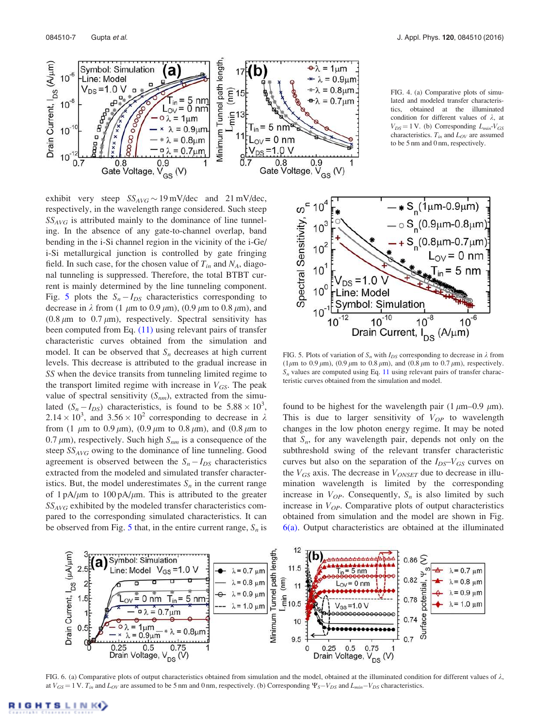

exhibit very steep  $SS_{AVG} \sim 19 \text{ mV/dec}$  and  $21 \text{ mV/dec}$ , respectively, in the wavelength range considered. Such steep  $SS_{AVG}$  is attributed mainly to the dominance of line tunneling. In the absence of any gate-to-channel overlap, band bending in the i-Si channel region in the vicinity of the i-Ge/ i-Si metallurgical junction is controlled by gate fringing field. In such case, for the chosen value of  $T_{in}$  and  $N_A$ , diagonal tunneling is suppressed. Therefore, the total BTBT current is mainly determined by the line tunneling component. Fig. 5 plots the  $S_n - I_{DS}$  characteristics corresponding to decrease in  $\lambda$  from (1  $\mu$ m to 0.9  $\mu$ m), (0.9  $\mu$ m to 0.8  $\mu$ m), and (0.8  $\mu$ m to 0.7  $\mu$ m), respectively. Spectral sensitivity has been computed from Eq. (11) using relevant pairs of transfer characteristic curves obtained from the simulation and model. It can be observed that  $S_n$  decreases at high current levels. This decrease is attributed to the gradual increase in SS when the device transits from tunneling limited regime to the transport limited regime with increase in  $V_{GS}$ . The peak value of spectral sensitivity  $(S_{nm})$ , extracted from the simulated  $(S_n - I_{DS})$  characteristics, is found to be  $5.88 \times 10^3$ ,  $2.14 \times 10^3$ , and  $3.56 \times 10^2$  corresponding to decrease in  $\lambda$ from (1  $\mu$ m to 0.9  $\mu$ m), (0.9  $\mu$ m to 0.8  $\mu$ m), and (0.8  $\mu$ m to 0.7  $\mu$ m), respectively. Such high  $S_{nm}$  is a consequence of the steep  $SS_{AVG}$  owing to the dominance of line tunneling. Good agreement is observed between the  $S_n - I_{DS}$  characteristics extracted from the modeled and simulated transfer characteristics. But, the model underestimates  $S_n$  in the current range of  $1 \text{ pA}/\mu \text{m}$  to  $100 \text{ pA}/\mu \text{m}$ . This is attributed to the greater  $SS_{AVG}$  exhibited by the modeled transfer characteristics compared to the corresponding simulated characteristics. It can be observed from Fig. 5 that, in the entire current range,  $S_n$  is

FIG. 4. (a) Comparative plots of simulated and modeled transfer characteristics, obtained at the illuminated condition for different values of  $\lambda$ , at  $V_{DS}$  = 1 V. (b) Corresponding  $L_{min}$ - $V_{GS}$ characteristics.  $T_{in}$  and  $L_{OV}$  are assumed to be 5 nm and 0 nm, respectively.



FIG. 5. Plots of variation of  $S_n$  with  $I_{DS}$  corresponding to decrease in  $\lambda$  from (1 $\mu$ m to 0.9 $\mu$ m), (0.9 $\mu$ m to 0.8 $\mu$ m), and (0.8 $\mu$ m to 0.7 $\mu$ m), respectively.  $S_n$  values are computed using Eq. 11 using relevant pairs of transfer characteristic curves obtained from the simulation and model.

found to be highest for the wavelength pair (1  $\mu$ m–0.9  $\mu$ m). This is due to larger sensitivity of  $V_{OP}$  to wavelength changes in the low photon energy regime. It may be noted that  $S_n$ , for any wavelength pair, depends not only on the subthreshold swing of the relevant transfer characteristic curves but also on the separation of the  $I_{DS}-V_{GS}$  curves on the  $V_{GS}$  axis. The decrease in  $V_{ONSET}$  due to decrease in illumination wavelength is limited by the corresponding increase in  $V_{OP}$ . Consequently,  $S_n$  is also limited by such increase in  $V_{OP}$ . Comparative plots of output characteristics obtained from simulation and the model are shown in Fig.  $6(a)$ . Output characteristics are obtained at the illuminated



FIG. 6. (a) Comparative plots of output characteristics obtained from simulation and the model, obtained at the illuminated condition for different values of  $\lambda$ , at  $V_{GS} = 1$  V.  $T_{in}$  and  $L_{OV}$  are assumed to be 5 nm and 0 nm, respectively. (b) Corresponding  $\Psi_S-V_{DS}$  and  $L_{min}-V_{DS}$  characteristics.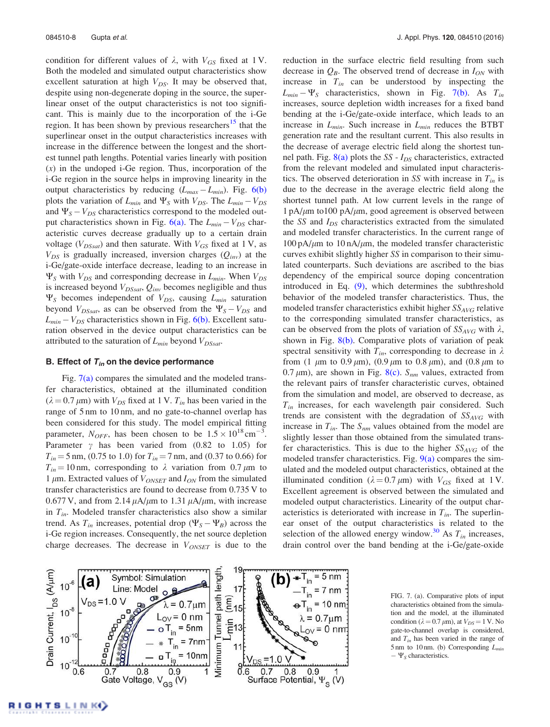condition for different values of  $\lambda$ , with  $V_{GS}$  fixed at 1 V. Both the modeled and simulated output characteristics show excellent saturation at high  $V_{DS}$ . It may be observed that, despite using non-degenerate doping in the source, the superlinear onset of the output characteristics is not too significant. This is mainly due to the incorporation of the i-Ge region. It has been shown by previous researchers<sup>15</sup> that the superlinear onset in the output characteristics increases with increase in the difference between the longest and the shortest tunnel path lengths. Potential varies linearly with position  $(x)$  in the undoped i-Ge region. Thus, incorporation of the i-Ge region in the source helps in improving linearity in the output characteristics by reducing  $(L_{max} - L_{min})$ . Fig. 6(b) plots the variation of  $L_{min}$  and  $\Psi_S$  with  $V_{DS}$ . The  $L_{min} - V_{DS}$ and  $\Psi_S - V_{DS}$  characteristics correspond to the modeled output characteristics shown in Fig.  $6(a)$ . The  $L_{min} - V_{DS}$  characteristic curves decrease gradually up to a certain drain voltage ( $V_{DSsat}$ ) and then saturate. With  $V_{GS}$  fixed at 1 V, as  $V_{DS}$  is gradually increased, inversion charges  $(Q_{inv})$  at the i-Ge/gate-oxide interface decrease, leading to an increase in  $\Psi_S$  with  $V_{DS}$  and corresponding decrease in  $L_{min}$ . When  $V_{DS}$ is increased beyond  $V_{DSsat}$ ,  $Q_{inv}$  becomes negligible and thus  $\Psi_S$  becomes independent of  $V_{DS}$ , causing  $L_{min}$  saturation beyond  $V_{DSsat}$ , as can be observed from the  $\Psi_S - V_{DS}$  and  $L_{min} - V_{DS}$  characteristics shown in Fig. 6(b). Excellent saturation observed in the device output characteristics can be attributed to the saturation of  $L_{min}$  beyond  $V_{DSsat}$ .

# B. Effect of  $T_{in}$  on the device performance

Fig.  $7(a)$  compares the simulated and the modeled transfer characteristics, obtained at the illuminated condition  $(\lambda = 0.7 \mu m)$  with  $V_{DS}$  fixed at 1 V.  $T_{in}$  has been varied in the range of 5 nm to 10 nm, and no gate-to-channel overlap has been considered for this study. The model empirical fitting parameter,  $N_{OFF}$ , has been chosen to be  $1.5 \times 10^{18} \text{ cm}^{-3}$ . Parameter  $\gamma$  has been varied from (0.82 to 1.05) for  $T_{in}$  = 5 nm, (0.75 to 1.0) for  $T_{in}$  = 7 nm, and (0.37 to 0.66) for  $T_{in} = 10$  nm, corresponding to  $\lambda$  variation from 0.7  $\mu$ m to 1  $\mu$ m. Extracted values of  $V_{ONSET}$  and  $I_{ON}$  from the simulated transfer characteristics are found to decrease from 0.735 V to 0.677 V, and from 2.14  $\mu$ A/ $\mu$ m to 1.31  $\mu$ A/ $\mu$ m, with increase in  $T_{in}$ . Modeled transfer characteristics also show a similar trend. As  $T_{in}$  increases, potential drop  $(\Psi_S - \Psi_B)$  across the i-Ge region increases. Consequently, the net source depletion charge decreases. The decrease in  $V_{ONSET}$  is due to the reduction in the surface electric field resulting from such decrease in  $Q_B$ . The observed trend of decrease in  $I_{ON}$  with increase in  $T_{in}$  can be understood by inspecting the  $L_{min} - \Psi_{S}$  characteristics, shown in Fig. 7(b). As  $T_{in}$ increases, source depletion width increases for a fixed band bending at the i-Ge/gate-oxide interface, which leads to an increase in  $L_{min}$ . Such increase in  $L_{min}$  reduces the BTBT generation rate and the resultant current. This also results in the decrease of average electric field along the shortest tunnel path. Fig.  $8(a)$  plots the SS -  $I_{DS}$  characteristics, extracted from the relevant modeled and simulated input characteristics. The observed deterioration in SS with increase in  $T_{in}$  is due to the decrease in the average electric field along the shortest tunnel path. At low current levels in the range of  $1 \text{ pA}/\mu \text{m}$  to  $100 \text{ pA}/\mu \text{m}$ , good agreement is observed between the SS and  $I_{DS}$  characteristics extracted from the simulated and modeled transfer characteristics. In the current range of  $100 \text{ pA}/\mu\text{m}$  to  $10 \text{ nA}/\mu\text{m}$ , the modeled transfer characteristic curves exhibit slightly higher SS in comparison to their simulated counterparts. Such deviations are ascribed to the bias dependency of the empirical source doping concentration introduced in Eq. (9), which determines the subthreshold behavior of the modeled transfer characteristics. Thus, the modeled transfer characteristics exhibit higher  $SS_{AVG}$  relative to the corresponding simulated transfer characteristics, as can be observed from the plots of variation of  $SS_{AVG}$  with  $\lambda$ , shown in Fig. 8(b). Comparative plots of variation of peak spectral sensitivity with  $T_{in}$ , corresponding to decrease in  $\lambda$ from (1  $\mu$ m to 0.9  $\mu$ m), (0.9  $\mu$ m to 0.8  $\mu$ m), and (0.8  $\mu$ m to 0.7  $\mu$ m), are shown in Fig. 8(c). S<sub>nm</sub> values, extracted from the relevant pairs of transfer characteristic curves, obtained from the simulation and model, are observed to decrease, as  $T_{in}$  increases, for each wavelength pair considered. Such trends are consistent with the degradation of  $SS_{AVG}$  with increase in  $T_{in}$ . The  $S_{nm}$  values obtained from the model are slightly lesser than those obtained from the simulated transfer characteristics. This is due to the higher  $SS_{AVG}$  of the modeled transfer characteristics. Fig.  $9(a)$  compares the simulated and the modeled output characteristics, obtained at the illuminated condition ( $\lambda = 0.7 \mu m$ ) with  $V_{GS}$  fixed at 1 V. Excellent agreement is observed between the simulated and modeled output characteristics. Linearity of the output characteristics is deteriorated with increase in  $T_{in}$ . The superlinear onset of the output characteristics is related to the selection of the allowed energy window.<sup>30</sup> As  $T_{in}$  increases, drain control over the band bending at the i-Ge/gate-oxide



FIG. 7. (a). Comparative plots of input characteristics obtained from the simulation and the model, at the illuminated condition ( $\lambda = 0.7 \mu m$ ), at  $V_{DS} = 1$  V. No gate-to-channel overlap is considered, and  $T_{in}$  has been varied in the range of 5 nm to 10 nm. (b) Corresponding  $L_{min}$  $-\Psi_{\rm S}$  characteristics.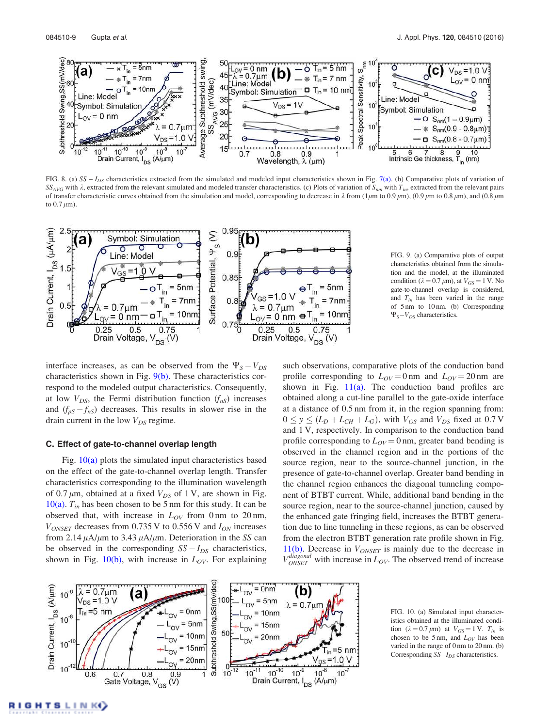

FIG. 8. (a) SS –  $I_{DS}$  characteristics extracted from the simulated and modeled input characteristics shown in Fig. 7(a). (b) Comparative plots of variation of  $SS_{AVG}$  with  $\lambda$ , extracted from the relevant simulated and modeled transfer characteristics. (c) Plots of variation of  $S_{nm}$  with  $T_{in}$ , extracted from the relevant pairs of transfer characteristic curves obtained from the simulation and model, corresponding to decrease in  $\lambda$  from (1 $\mu$ m to 0.9  $\mu$ m), (0.9  $\mu$ m to 0.8  $\mu$ m), and (0.8  $\mu$ m) to  $0.7 \mu m$ ).



FIG. 9. (a) Comparative plots of output characteristics obtained from the simulation and the model, at the illuminated condition ( $\lambda = 0.7 \mu m$ ), at  $V_{GS} = 1$  V. No gate-to-channel overlap is considered, and  $T_{in}$  has been varied in the range of 5 nm to 10 nm. (b) Corresponding  $\Psi_S-V_{DS}$  characteristics.

interface increases, as can be observed from the  $\Psi_s - V_{DS}$ characteristics shown in Fig.  $9(b)$ . These characteristics correspond to the modeled output characteristics. Consequently, at low  $V_{DS}$ , the Fermi distribution function  $(f_{nS})$  increases and  $(f_{pS} - f_{nS})$  decreases. This results in slower rise in the drain current in the low  $V_{DS}$  regime.

### C. Effect of gate-to-channel overlap length

Fig.  $10(a)$  plots the simulated input characteristics based on the effect of the gate-to-channel overlap length. Transfer characteristics corresponding to the illumination wavelength of 0.7  $\mu$ m, obtained at a fixed  $V_{DS}$  of 1 V, are shown in Fig. 10(a).  $T_{in}$  has been chosen to be 5 nm for this study. It can be observed that, with increase in  $L_{OV}$  from 0 nm to 20 nm,  $V_{ONSET}$  decreases from 0.735 V to 0.556 V and  $I_{ON}$  increases from 2.14  $\mu$ A/ $\mu$ m to 3.43  $\mu$ A/ $\mu$ m. Deterioration in the SS can be observed in the corresponding  $SS - I_{DS}$  characteristics, shown in Fig. 10(b), with increase in  $L_{OV}$ . For explaining such observations, comparative plots of the conduction band profile corresponding to  $L_{OV} = 0$  nm and  $L_{OV} = 20$  nm are shown in Fig.  $11(a)$ . The conduction band profiles are obtained along a cut-line parallel to the gate-oxide interface at a distance of 0.5 nm from it, in the region spanning from:  $0 \le y \le (L_D + L_{CH} + L_G)$ , with  $V_{GS}$  and  $V_{DS}$  fixed at 0.7 V and 1 V, respectively. In comparison to the conduction band profile corresponding to  $L_{OV} = 0$  nm, greater band bending is observed in the channel region and in the portions of the source region, near to the source-channel junction, in the presence of gate-to-channel overlap. Greater band bending in the channel region enhances the diagonal tunneling component of BTBT current. While, additional band bending in the source region, near to the source-channel junction, caused by the enhanced gate fringing field, increases the BTBT generation due to line tunneling in these regions, as can be observed from the electron BTBT generation rate profile shown in Fig. 11(b). Decrease in  $V_{ONSET}$  is mainly due to the decrease in  $V_{ONSET}^{diagonal}$  with increase in  $L_{OV}$ . The observed trend of increase



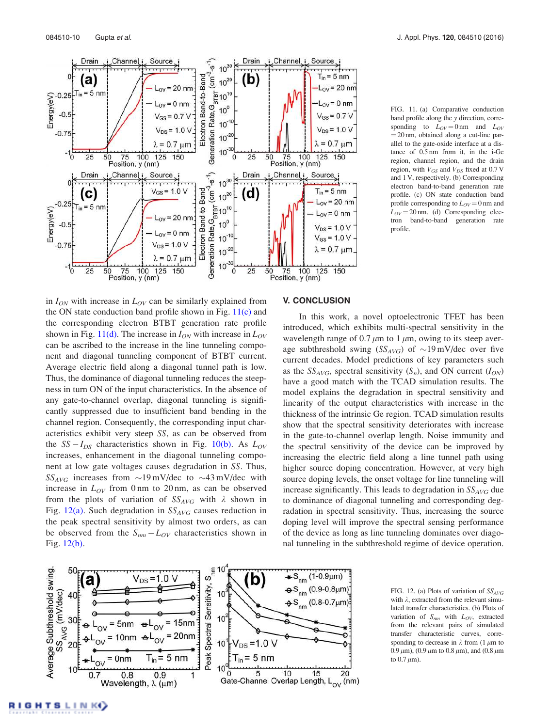

FIG. 11. (a) Comparative conduction band profile along the y direction, corresponding to  $L_{OV} = 0 \text{ nm}$  and  $L_{OV}$  $= 20$  nm, obtained along a cut-line parallel to the gate-oxide interface at a distance of 0.5 nm from it, in the i-Ge region, channel region, and the drain region, with  $V_{GS}$  and  $V_{DS}$  fixed at 0.7 V and 1 V, respectively. (b) Corresponding electron band-to-band generation rate profile. (c) ON state conduction band profile corresponding to  $L_{OV} = 0$  nm and  $L_{OV}$  = 20 nm. (d) Corresponding electron band-to-band generation rate tron band-to-band generation profile.

in  $I_{ON}$  with increase in  $L_{OV}$  can be similarly explained from the ON state conduction band profile shown in Fig.  $11(c)$  and the corresponding electron BTBT generation rate profile shown in Fig. 11(d). The increase in  $I_{ON}$  with increase in  $L_{OV}$ can be ascribed to the increase in the line tunneling component and diagonal tunneling component of BTBT current. Average electric field along a diagonal tunnel path is low. Thus, the dominance of diagonal tunneling reduces the steepness in turn ON of the input characteristics. In the absence of any gate-to-channel overlap, diagonal tunneling is significantly suppressed due to insufficient band bending in the channel region. Consequently, the corresponding input characteristics exhibit very steep SS, as can be observed from the  $SS - I_{DS}$  characteristics shown in Fig. 10(b). As  $L_{OV}$ increases, enhancement in the diagonal tunneling component at low gate voltages causes degradation in SS. Thus,  $SS_{AVG}$  increases from  $\sim$ 19 mV/dec to  $\sim$ 43 mV/dec with increase in  $L_{OV}$  from 0 nm to 20 nm, as can be observed from the plots of variation of  $SS_{AVG}$  with  $\lambda$  shown in Fig. 12(a). Such degradation in  $SS_{AVG}$  causes reduction in the peak spectral sensitivity by almost two orders, as can be observed from the  $S_{nm} - L_{OV}$  characteristics shown in Fig. 12(b).

## V. CONCLUSION

In this work, a novel optoelectronic TFET has been introduced, which exhibits multi-spectral sensitivity in the wavelength range of 0.7  $\mu$ m to 1  $\mu$ m, owing to its steep average subthreshold swing  $(SS_{AVG})$  of  $\sim 19$  mV/dec over five current decades. Model predictions of key parameters such as the  $SS_{AVG}$ , spectral sensitivity  $(S_n)$ , and ON current  $(I_{ON})$ have a good match with the TCAD simulation results. The model explains the degradation in spectral sensitivity and linearity of the output characteristics with increase in the thickness of the intrinsic Ge region. TCAD simulation results show that the spectral sensitivity deteriorates with increase in the gate-to-channel overlap length. Noise immunity and the spectral sensitivity of the device can be improved by increasing the electric field along a line tunnel path using higher source doping concentration. However, at very high source doping levels, the onset voltage for line tunneling will increase significantly. This leads to degradation in  $SS_{AVG}$  due to dominance of diagonal tunneling and corresponding degradation in spectral sensitivity. Thus, increasing the source doping level will improve the spectral sensing performance of the device as long as line tunneling dominates over diagonal tunneling in the subthreshold regime of device operation.



FIG. 12. (a) Plots of variation of  $SS_{AVG}$ with  $\lambda$ , extracted from the relevant simulated transfer characteristics. (b) Plots of variation of  $S_{nm}$  with  $L_{OV}$ , extracted from the relevant pairs of simulated transfer characteristic curves, corresponding to decrease in  $\lambda$  from (1  $\mu$ m to 0.9  $\mu$ m), (0.9  $\mu$ m to 0.8  $\mu$ m), and (0.8  $\mu$ m to  $0.7 \mu m$ ).